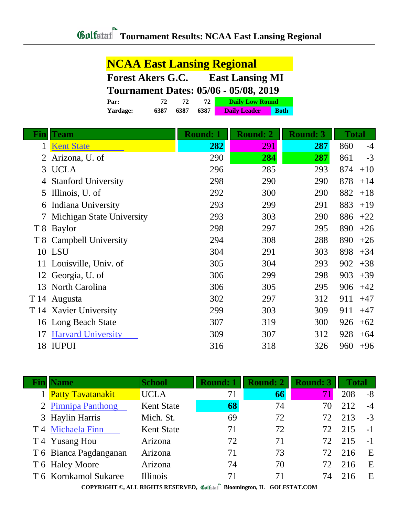| <b>NCAA East Lansing Regional</b>                  |      |      |      |                                              |             |  |
|----------------------------------------------------|------|------|------|----------------------------------------------|-------------|--|
| <b>East Lansing MI</b><br><b>Forest Akers G.C.</b> |      |      |      |                                              |             |  |
|                                                    |      |      |      | <b>Tournament Dates: 05/06 - 05/08, 2019</b> |             |  |
| Par:                                               | 72   | 72   | 72   | <b>Daily Low Round</b>                       |             |  |
| Yardage:                                           | 6387 | 6387 | 6387 | <b>Daily Leader</b>                          | <b>Both</b> |  |

| Fin | <b>Team</b>                | <b>Round: 1</b> | <b>Round: 2</b> | <b>Round: 3</b> | <b>Total</b> |
|-----|----------------------------|-----------------|-----------------|-----------------|--------------|
| 1   | <b>Kent State</b>          | 282             | 291             | 287             | 860<br>$-4$  |
|     | Arizona, U. of             | 290             | 284             | 287             | 861<br>$-3$  |
| 3   | <b>UCLA</b>                | 296             | 285             | 293             | 874<br>$+10$ |
|     | <b>Stanford University</b> | 298             | 290             | 290             | 878<br>$+14$ |
| 5   | Illinois, U. of            | 292             | 300             | 290             | 882<br>$+18$ |
| 6   | Indiana University         | 293             | 299             | 291             | 883<br>$+19$ |
|     | Michigan State University  | 293             | 303             | 290             | 886<br>$+22$ |
|     | T 8 Baylor                 | 298             | 297             | 295             | 890<br>$+26$ |
| T 8 | Campbell University        | 294             | 308             | 288             | 890<br>$+26$ |
|     | 10 LSU                     | 304             | 291             | 303             | 898<br>$+34$ |
|     | 11 Louisville, Univ. of    | 305             | 304             | 293             | 902<br>$+38$ |
|     | 12 Georgia, U. of          | 306             | 299             | 298             | 903<br>$+39$ |
| 13  | North Carolina             | 306             | 305             | 295             | 906<br>$+42$ |
|     | T 14 Augusta               | 302             | 297             | 312             | 911<br>$+47$ |
|     | T 14 Xavier University     | 299             | 303             | 309             | 911<br>$+47$ |
| 16  | Long Beach State           | 307             | 319             | 300             | 926<br>$+62$ |
| 17  | <b>Harvard University</b>  | 309             | 307             | 312             | 928<br>$+64$ |
| 18  | <b>IUPUI</b>               | 316             | 318             | 326             | 960<br>$+96$ |

| Name                     | <b>School</b>     | <b>Round: 1</b> | <b>Round: 2</b> | <b>Round: 3</b> | <b>Total</b> |      |
|--------------------------|-------------------|-----------------|-----------------|-----------------|--------------|------|
| <b>Patty Tavatanakit</b> | <b>UCLA</b>       | 71              | 66              | 71              | 208          | $-8$ |
| 2 Pimnipa Panthong       | <b>Kent State</b> | 68              | 74              | 70              | 212          | $-4$ |
| 3 Haylin Harris          | Mich. St.         | 69              | 72              | 72              | 213          | $-3$ |
| T 4 Michaela Finn        | <b>Kent State</b> | 71              | 72              | 72              | 215          | $-1$ |
| T 4 Yusang Hou           | Arizona           | 72              | 71              | 72              | 215          | $-1$ |
| T 6 Bianca Pagdanganan   | Arizona           | 71              | 73              | 72              | 216          | E    |
| T 6 Haley Moore          | Arizona           | 74              | 70              | 72.             | 216          | E    |
| T 6 Kornkamol Sukaree    | <b>Illinois</b>   | 71              | 71              | 74              | 216          | E    |
|                          |                   | $\sim$          |                 |                 |              |      |

**COPYRIGHT ©, ALL RIGHTS RESERVED, Bloomington, IL GOLFSTAT.COM**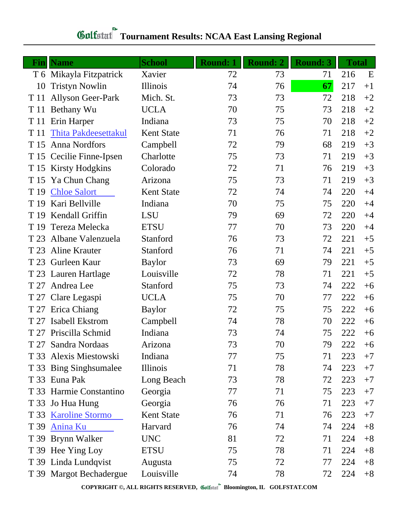## **Fin Name School Round: 1 Round: 2 Round: 3 Total** T 6 Mikayla Fitzpatrick Xavier 72 73 71 216 E 10 Tristyn Nowlin Illinois 74 76 **67** 217 +1 T 11 Allyson Geer-Park Mich. St. 73 73 72 218 +2 T 11 Bethany Wu UCLA 70 75 73 218 +2 T 11 Erin Harper Indiana 73 75 70 218 +2 T 11 [Thita Pakdeesettakul](http://www.golfstat.com/ultimate/W056web/W056index.htm?p=J) Kent State 71 76 71 218 +2 T 15 Anna Nordfors Campbell  $\overline{72}$   $\overline{79}$   $\overline{68}$   $\overline{219}$   $\overline{+3}$ T 15 Cecilie Finne-Ipsen Charlotte 75 73 71 219 +3 T 15 Kirsty Hodgkins Colorado 72 71 76 219 +3 T 15 Ya Chun Chang Arizona 75 73 71 219 +3 T 19 [Chloe Salort](http://www.golfstat.com/ultimate/W056web/W056index.htm?p=I) Kent State 72 74 74 220 +4 T 19 Kari Bellville Indiana 10 70 75 75 220 +4 T 19 Kendall Griffin LSU 79 69 72 220 +4 T 19 Tereza Melecka ETSU 77 70 73 220 +4 T 23 Albane Valenzuela Stanford 76 73 72 221 +5 T 23 Aline Krauter Stanford 76 71 74 221 +5 T 23 Gurleen Kaur Baylor 73 69 79 221 +5 T 23 Lauren Hartlage Louisville 72 78 71 221 +5 T 27 Andrea Lee Stanford 75 73 74 222 +6 T 27 Clare Legaspi UCLA 75 70 77 222 +6 T 27 Erica Chiang Baylor 72 75 75 222 +6 T 27 Isabell Ekstrom Campbell 74 78 70 222 +6

T 27 Priscilla Schmid Indiana 73 74 75 222 +6 T 27 Sandra Nordaas Arizona 73 70 79 222 +6 T 33 Alexis Miestowski Indiana 77 75 71 223 +7 T 33 Bing Singhsumalee Illinois 71 78 74 223 +7 T 33 Euna Pak Long Beach 73 78 72 223 +7 T 33 Harmie Constantino Georgia 77 71 75 223 +7 T 33 Jo Hua Hung Georgia 76 76 71 223 +7 T 33 [Karoline Stormo](http://www.golfstat.com/ultimate/W056web/W056index.htm?p=E) Kent State 76 71 76 223 +7 T 39 [Anina Ku](http://www.golfstat.com/ultimate/W200web/W200index.htm?p=K) Harvard 76 74 74 224 +8 T 39 Brynn Walker UNC 81 72 71 224 +8 T 39 Hee Ying Loy ETSU 75 78 71 224 +8 T 39 Linda Lundqvist Augusta 75 72 77 224 +8 T 39 Margot Bechadergue Louisville 74 78 72 224 +8

## **Tournament Results: NCAA East Lansing Regional**

**COPYRIGHT ©, ALL RIGHTS RESERVED, Bloomington, IL GOLFSTAT.COM**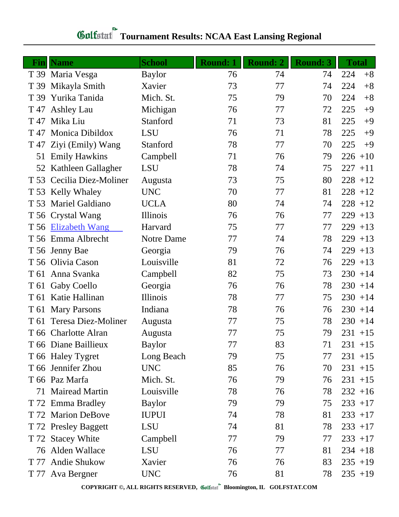| Finll | <b>Name</b>               | <b>School</b> | <b>Round: 1</b> | <b>Round: 2</b> | <b>Round: 3</b> | <b>Total</b> |
|-------|---------------------------|---------------|-----------------|-----------------|-----------------|--------------|
|       | T 39 Maria Vesga          | <b>Baylor</b> | 76              | 74              | 74              | 224<br>$+8$  |
| T 39  | Mikayla Smith             | Xavier        | 73              | 77              | 74              | 224<br>$+8$  |
| T 39  | Yurika Tanida             | Mich. St.     | 75              | 79              | 70              | $+8$<br>224  |
| T 47  | <b>Ashley Lau</b>         | Michigan      | 76              | 77              | 72              | 225<br>$+9$  |
| T 47  | Mika Liu                  | Stanford      | 71              | 73              | 81              | 225<br>$+9$  |
| T 47  | Monica Dibildox           | <b>LSU</b>    | 76              | 71              | 78              | 225<br>$+9$  |
|       | T 47 Ziyi (Emily) Wang    | Stanford      | 78              | 77              | 70              | 225<br>$+9$  |
| 51    | <b>Emily Hawkins</b>      | Campbell      | 71              | 76              | 79              | $226 + 10$   |
|       | 52 Kathleen Gallagher     | <b>LSU</b>    | 78              | 74              | 75              | $227 + 11$   |
|       | T 53 Cecilia Diez-Moliner | Augusta       | 73              | 75              | 80              | $228 + 12$   |
|       | T 53 Kelly Whaley         | <b>UNC</b>    | 70              | 77              | 81              | $228 + 12$   |
|       | T 53 Mariel Galdiano      | <b>UCLA</b>   | 80              | 74              | 74              | $228 + 12$   |
|       | T 56 Crystal Wang         | Illinois      | 76              | 76              | 77              | $229 + 13$   |
|       | T 56 Elizabeth Wang       | Harvard       | 75              | 77              | 77              | $229 + 13$   |
|       | T 56 Emma Albrecht        | Notre Dame    | 77              | 74              | 78              | $229 + 13$   |
|       | T 56 Jenny Bae            | Georgia       | 79              | 76              | 74              | $229 + 13$   |
|       | T 56 Olivia Cason         | Louisville    | 81              | 72              | 76              | $229 + 13$   |
|       | T 61 Anna Svanka          | Campbell      | 82              | 75              | 73              | $230 + 14$   |
|       | T 61 Gaby Coello          | Georgia       | 76              | 76              | 78              | $230 + 14$   |
|       | T 61 Katie Hallinan       | Illinois      | 78              | 77              | 75              | $230 + 14$   |
| T 61  | <b>Mary Parsons</b>       | Indiana       | 78              | 76              | 76              | $230 + 14$   |
|       | T 61 Teresa Diez-Moliner  | Augusta       | 77              | 75              | 78              | $230 + 14$   |
|       | T 66 Charlotte Alran      | Augusta       | 77              | 75              | 79              | $231 + 15$   |
|       | T 66 Diane Baillieux      | <b>Baylor</b> | 77              | 83              | 71              | $231 + 15$   |
|       | T 66 Haley Tygret         | Long Beach    | 79              | 75              | 77              | $231 + 15$   |
|       | T 66 Jennifer Zhou        | <b>UNC</b>    | 85              | 76              | 70              | $231 + 15$   |
|       | T 66 Paz Marfa            | Mich. St.     | 76              | 79              | 76              | $231 + 15$   |
| 71    | <b>Mairead Martin</b>     | Louisville    | 78              | 76              | 78              | $232 + 16$   |
|       | T 72 Emma Bradley         | <b>Baylor</b> | 79              | 79              | 75              | $233 + 17$   |
|       | T 72 Marion DeBove        | <b>IUPUI</b>  | 74              | 78              | 81              | $233 + 17$   |
|       | T 72 Presley Baggett      | LSU           | 74              | 81              | 78              | $233 + 17$   |
|       | T 72 Stacey White         | Campbell      | 77              | 79              | 77              | $233 + 17$   |
|       | 76 Alden Wallace          | LSU           | 76              | 77              | 81              | $234 + 18$   |
| T 77  | <b>Andie Shukow</b>       | Xavier        | 76              | 76              | 83              | $235 + 19$   |
|       | T 77 Ava Bergner          | <b>UNC</b>    | 76              | 81              | 78              | $235 + 19$   |

## **Gulfatat** Tournament Results: NCAA East Lansing Regional